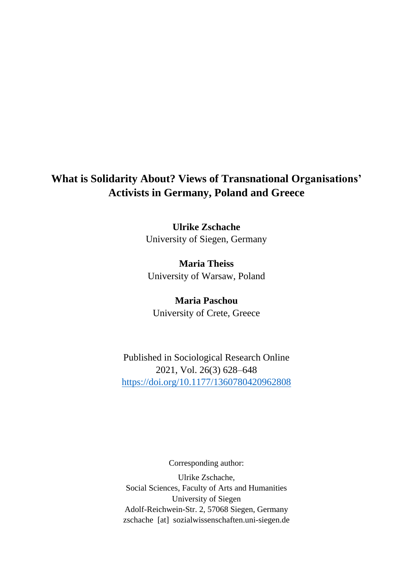# **What is Solidarity About? Views of Transnational Organisations' Activists in Germany, Poland and Greece**

**Ulrike Zschache** University of Siegen, Germany

**Maria Theiss** University of Warsaw, Poland

**Maria Paschou** University of Crete, Greece

Published in Sociological Research Online 2021, Vol. 26(3) 628–648 <https://doi.org/10.1177/1360780420962808>

Corresponding author:

Ulrike Zschache, Social Sciences, Faculty of Arts and Humanities University of Siegen Adolf-Reichwein-Str. 2, 57068 Siegen, Germany zschache [at] sozialwissenschaften.uni-siegen.de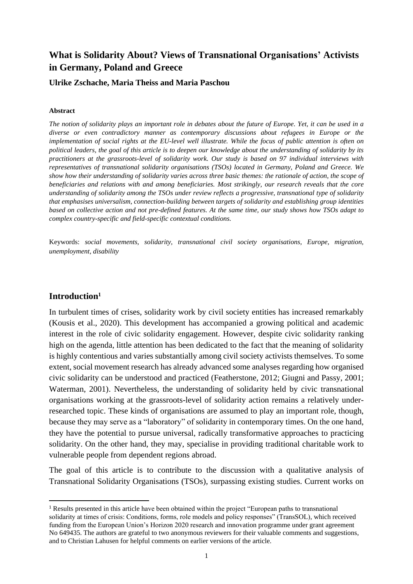# **What is Solidarity About? Views of Transnational Organisations' Activists in Germany, Poland and Greece**

#### **Ulrike Zschache, Maria Theiss and Maria Paschou**

#### **Abstract**

*The notion of solidarity plays an important role in debates about the future of Europe. Yet, it can be used in a diverse or even contradictory manner as contemporary discussions about refugees in Europe or the implementation of social rights at the EU-level well illustrate. While the focus of public attention is often on political leaders, the goal of this article is to deepen our knowledge about the understanding of solidarity by its practitioners at the grassroots-level of solidarity work. Our study is based on 97 individual interviews with representatives of transnational solidarity organisations (TSOs) located in Germany, Poland and Greece. We show how their understanding of solidarity varies across three basic themes: the rationale of action, the scope of beneficiaries and relations with and among beneficiaries. Most strikingly, our research reveals that the core understanding of solidarity among the TSOs under review reflects a progressive, transnational type of solidarity that emphasises universalism, connection-building between targets of solidarity and establishing group identities based on collective action and not pre-defined features. At the same time, our study shows how TSOs adapt to complex country-specific and field-specific contextual conditions.*

Keywords: *social movements, solidarity, transnational civil society organisations, Europe, migration, unemployment, disability* 

#### **Introduction<sup>1</sup>**

In turbulent times of crises, solidarity work by civil society entities has increased remarkably (Kousis et al., 2020). This development has accompanied a growing political and academic interest in the role of civic solidarity engagement. However, despite civic solidarity ranking high on the agenda, little attention has been dedicated to the fact that the meaning of solidarity is highly contentious and varies substantially among civil society activists themselves. To some extent, social movement research has already advanced some analyses regarding how organised civic solidarity can be understood and practiced (Featherstone, 2012; Giugni and Passy, 2001; Waterman, 2001). Nevertheless, the understanding of solidarity held by civic transnational organisations working at the grassroots-level of solidarity action remains a relatively underresearched topic. These kinds of organisations are assumed to play an important role, though, because they may serve as a "laboratory" of solidarity in contemporary times. On the one hand, they have the potential to pursue universal, radically transformative approaches to practicing solidarity. On the other hand, they may, specialise in providing traditional charitable work to vulnerable people from dependent regions abroad.

The goal of this article is to contribute to the discussion with a qualitative analysis of Transnational Solidarity Organisations (TSOs), surpassing existing studies. Current works on

<sup>1</sup> Results presented in this article have been obtained within the project "European paths to transnational solidarity at times of crisis: Conditions, forms, role models and policy responses" (TransSOL), which received funding from the European Union's Horizon 2020 research and innovation programme under grant agreement No 649435. The authors are grateful to two anonymous reviewers for their valuable comments and suggestions, and to Christian Lahusen for helpful comments on earlier versions of the article.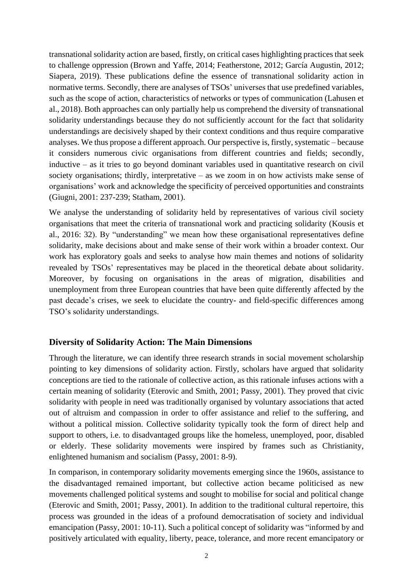transnational solidarity action are based, firstly, on critical cases highlighting practices that seek to challenge oppression (Brown and Yaffe, 2014; Featherstone, 2012; García Augustin, 2012; Siapera, 2019). These publications define the essence of transnational solidarity action in normative terms. Secondly, there are analyses of TSOs' universes that use predefined variables, such as the scope of action, characteristics of networks or types of communication (Lahusen et al., 2018). Both approaches can only partially help us comprehend the diversity of transnational solidarity understandings because they do not sufficiently account for the fact that solidarity understandings are decisively shaped by their context conditions and thus require comparative analyses. We thus propose a different approach. Our perspective is, firstly, systematic – because it considers numerous civic organisations from different countries and fields; secondly, inductive – as it tries to go beyond dominant variables used in quantitative research on civil society organisations; thirdly, interpretative – as we zoom in on how activists make sense of organisations' work and acknowledge the specificity of perceived opportunities and constraints (Giugni, 2001: 237-239; Statham, 2001).

We analyse the understanding of solidarity held by representatives of various civil society organisations that meet the criteria of transnational work and practicing solidarity (Kousis et al., 2016: 32). By "understanding" we mean how these organisational representatives define solidarity, make decisions about and make sense of their work within a broader context. Our work has exploratory goals and seeks to analyse how main themes and notions of solidarity revealed by TSOs' representatives may be placed in the theoretical debate about solidarity. Moreover, by focusing on organisations in the areas of migration, disabilities and unemployment from three European countries that have been quite differently affected by the past decade's crises, we seek to elucidate the country- and field-specific differences among TSO's solidarity understandings.

## **Diversity of Solidarity Action: The Main Dimensions**

Through the literature, we can identify three research strands in social movement scholarship pointing to key dimensions of solidarity action. Firstly, scholars have argued that solidarity conceptions are tied to the rationale of collective action, as this rationale infuses actions with a certain meaning of solidarity (Eterovic and Smith, 2001; Passy, 2001). They proved that civic solidarity with people in need was traditionally organised by voluntary associations that acted out of altruism and compassion in order to offer assistance and relief to the suffering, and without a political mission. Collective solidarity typically took the form of direct help and support to others, i.e. to disadvantaged groups like the homeless, unemployed, poor, disabled or elderly. These solidarity movements were inspired by frames such as Christianity, enlightened humanism and socialism (Passy, 2001: 8-9).

In comparison, in contemporary solidarity movements emerging since the 1960s, assistance to the disadvantaged remained important, but collective action became politicised as new movements challenged political systems and sought to mobilise for social and political change (Eterovic and Smith, 2001; Passy, 2001). In addition to the traditional cultural repertoire, this process was grounded in the ideas of a profound democratisation of society and individual emancipation (Passy, 2001: 10-11). Such a political concept of solidarity was "informed by and positively articulated with equality, liberty, peace, tolerance, and more recent emancipatory or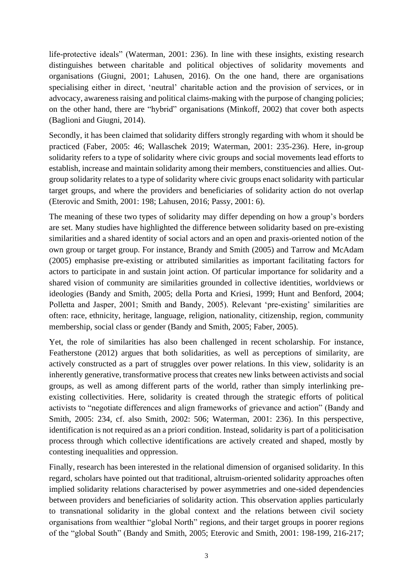life-protective ideals" (Waterman, 2001: 236). In line with these insights, existing research distinguishes between charitable and political objectives of solidarity movements and organisations (Giugni, 2001; Lahusen, 2016). On the one hand, there are organisations specialising either in direct, 'neutral' charitable action and the provision of services, or in advocacy, awareness raising and political claims-making with the purpose of changing policies; on the other hand, there are "hybrid" organisations (Minkoff, 2002) that cover both aspects (Baglioni and Giugni, 2014).

Secondly, it has been claimed that solidarity differs strongly regarding with whom it should be practiced (Faber, 2005: 46; Wallaschek 2019; Waterman, 2001: 235-236). Here, in-group solidarity refers to a type of solidarity where civic groups and social movements lead efforts to establish, increase and maintain solidarity among their members, constituencies and allies. Outgroup solidarity relates to a type of solidarity where civic groups enact solidarity with particular target groups, and where the providers and beneficiaries of solidarity action do not overlap (Eterovic and Smith, 2001: 198; Lahusen, 2016; Passy, 2001: 6).

The meaning of these two types of solidarity may differ depending on how a group's borders are set. Many studies have highlighted the difference between solidarity based on pre-existing similarities and a shared identity of social actors and an open and praxis-oriented notion of the own group or target group. For instance, Brandy and Smith (2005) and Tarrow and McAdam (2005) emphasise pre-existing or attributed similarities as important facilitating factors for actors to participate in and sustain joint action. Of particular importance for solidarity and a shared vision of community are similarities grounded in collective identities, worldviews or ideologies (Bandy and Smith, 2005; della Porta and Kriesi, 1999; Hunt and Benford, 2004; Polletta and Jasper, 2001; Smith and Bandy, 2005). Relevant 'pre-existing' similarities are often: race, ethnicity, heritage, language, religion, nationality, citizenship, region, community membership, social class or gender (Bandy and Smith, 2005; Faber, 2005).

Yet, the role of similarities has also been challenged in recent scholarship. For instance, Featherstone (2012) argues that both solidarities, as well as perceptions of similarity, are actively constructed as a part of struggles over power relations. In this view, solidarity is an inherently generative, transformative process that creates new links between activists and social groups, as well as among different parts of the world, rather than simply interlinking preexisting collectivities. Here, solidarity is created through the strategic efforts of political activists to "negotiate differences and align frameworks of grievance and action" (Bandy and Smith, 2005: 234, cf. also Smith, 2002: 506; Waterman, 2001: 236). In this perspective, identification is not required as an a priori condition. Instead, solidarity is part of a politicisation process through which collective identifications are actively created and shaped, mostly by contesting inequalities and oppression.

Finally, research has been interested in the relational dimension of organised solidarity. In this regard, scholars have pointed out that traditional, altruism-oriented solidarity approaches often implied solidarity relations characterised by power asymmetries and one-sided dependencies between providers and beneficiaries of solidarity action. This observation applies particularly to transnational solidarity in the global context and the relations between civil society organisations from wealthier "global North" regions, and their target groups in poorer regions of the "global South" (Bandy and Smith, 2005; Eterovic and Smith, 2001: 198-199, 216-217;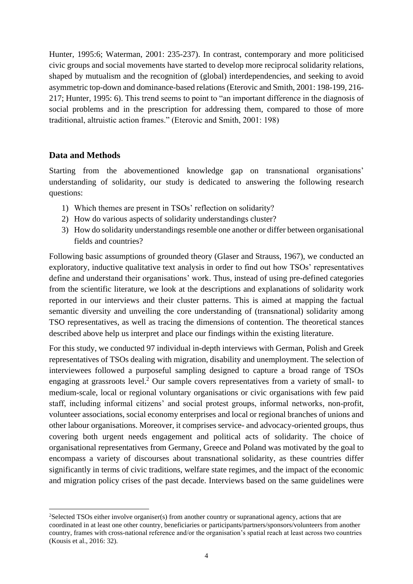Hunter, 1995:6; Waterman, 2001: 235-237). In contrast, contemporary and more politicised civic groups and social movements have started to develop more reciprocal solidarity relations, shaped by mutualism and the recognition of (global) interdependencies, and seeking to avoid asymmetric top-down and dominance-based relations(Eterovic and Smith, 2001: 198-199, 216- 217; Hunter, 1995: 6). This trend seems to point to "an important difference in the diagnosis of social problems and in the prescription for addressing them, compared to those of more traditional, altruistic action frames." (Eterovic and Smith, 2001: 198)

## **Data and Methods**

Starting from the abovementioned knowledge gap on transnational organisations' understanding of solidarity, our study is dedicated to answering the following research questions:

- 1) Which themes are present in TSOs' reflection on solidarity?
- 2) How do various aspects of solidarity understandings cluster?
- 3) How do solidarity understandings resemble one another or differ between organisational fields and countries?

Following basic assumptions of grounded theory (Glaser and Strauss, 1967), we conducted an exploratory, inductive qualitative text analysis in order to find out how TSOs' representatives define and understand their organisations' work. Thus, instead of using pre-defined categories from the scientific literature, we look at the descriptions and explanations of solidarity work reported in our interviews and their cluster patterns. This is aimed at mapping the factual semantic diversity and unveiling the core understanding of (transnational) solidarity among TSO representatives, as well as tracing the dimensions of contention. The theoretical stances described above help us interpret and place our findings within the existing literature.

For this study, we conducted 97 individual in-depth interviews with German, Polish and Greek representatives of TSOs dealing with migration, disability and unemployment. The selection of interviewees followed a purposeful sampling designed to capture a broad range of TSOs engaging at grassroots level.<sup>2</sup> Our sample covers representatives from a variety of small- to medium-scale, local or regional voluntary organisations or civic organisations with few paid staff, including informal citizens' and social protest groups, informal networks, non-profit, volunteer associations, social economy enterprises and local or regional branches of unions and other labour organisations. Moreover, it comprises service- and advocacy-oriented groups, thus covering both urgent needs engagement and political acts of solidarity. The choice of organisational representatives from Germany, Greece and Poland was motivated by the goal to encompass a variety of discourses about transnational solidarity, as these countries differ significantly in terms of civic traditions, welfare state regimes, and the impact of the economic and migration policy crises of the past decade. Interviews based on the same guidelines were

<sup>2</sup>Selected TSOs either involve organiser(s) from another country or supranational agency, actions that are coordinated in at least one other country, beneficiaries or participants/partners/sponsors/volunteers from another country, frames with cross-national reference and/or the organisation's spatial reach at least across two countries (Kousis et al., 2016: 32).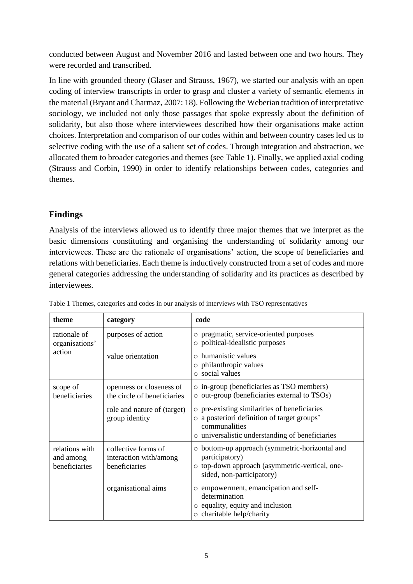conducted between August and November 2016 and lasted between one and two hours. They were recorded and transcribed.

In line with grounded theory (Glaser and Strauss, 1967), we started our analysis with an open coding of interview transcripts in order to grasp and cluster a variety of semantic elements in the material (Bryant and Charmaz, 2007: 18). Following the Weberian tradition of interpretative sociology, we included not only those passages that spoke expressly about the definition of solidarity, but also those where interviewees described how their organisations make action choices. Interpretation and comparison of our codes within and between country cases led us to selective coding with the use of a salient set of codes. Through integration and abstraction, we allocated them to broader categories and themes (see Table 1). Finally, we applied axial coding (Strauss and Corbin, 1990) in order to identify relationships between codes, categories and themes.

# **Findings**

Analysis of the interviews allowed us to identify three major themes that we interpret as the basic dimensions constituting and organising the understanding of solidarity among our interviewees. These are the rationale of organisations' action, the scope of beneficiaries and relations with beneficiaries. Each theme is inductively constructed from a set of codes and more general categories addressing the understanding of solidarity and its practices as described by interviewees.

| theme                                        | category                                                       | code                                                                                                                                                            |
|----------------------------------------------|----------------------------------------------------------------|-----------------------------------------------------------------------------------------------------------------------------------------------------------------|
| rationale of<br>organisations'<br>action     | purposes of action                                             | o pragmatic, service-oriented purposes<br>o political-idealistic purposes                                                                                       |
|                                              | value orientation                                              | $\circ$ humanistic values<br>o philanthropic values<br>$\circ$ social values                                                                                    |
| scope of<br>beneficiaries                    | openness or closeness of<br>the circle of beneficiaries        | $\circ$ in-group (beneficiaries as TSO members)<br>o out-group (beneficiaries external to TSOs)                                                                 |
|                                              | role and nature of (target)<br>group identity                  | o pre-existing similarities of beneficiaries<br>o a posteriori definition of target groups'<br>communalities<br>o universalistic understanding of beneficiaries |
| relations with<br>and among<br>beneficiaries | collective forms of<br>interaction with/among<br>beneficiaries | o bottom-up approach (symmetric-horizontal and<br>participatory)<br>o top-down approach (asymmetric-vertical, one-<br>sided, non-participatory)                 |
|                                              | organisational aims                                            | o empowerment, emancipation and self-<br>determination<br>$\circ$ equality, equity and inclusion<br>o charitable help/charity                                   |

Table 1 Themes, categories and codes in our analysis of interviews with TSO representatives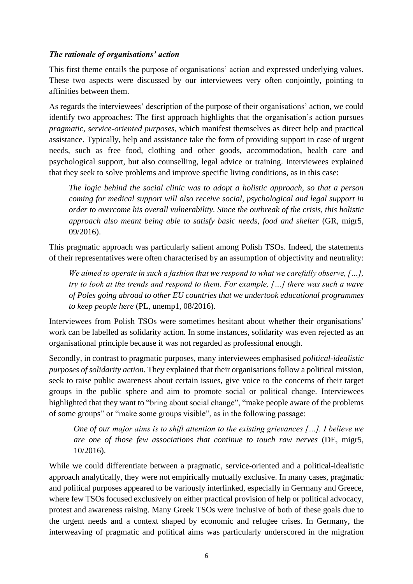### *The rationale of organisations' action*

This first theme entails the purpose of organisations' action and expressed underlying values. These two aspects were discussed by our interviewees very often conjointly, pointing to affinities between them.

As regards the interviewees' description of the purpose of their organisations' action, we could identify two approaches: The first approach highlights that the organisation's action pursues *pragmatic, service-oriented purposes,* which manifest themselves as direct help and practical assistance. Typically, help and assistance take the form of providing support in case of urgent needs, such as free food, clothing and other goods, accommodation, health care and psychological support, but also counselling, legal advice or training. Interviewees explained that they seek to solve problems and improve specific living conditions, as in this case:

*The logic behind the social clinic was to adopt a holistic approach, so that a person coming for medical support will also receive social, psychological and legal support in order to overcome his overall vulnerability. Since the outbreak of the crisis, this holistic approach also meant being able to satisfy basic needs, food and shelter* (GR, migr5, 09/2016).

This pragmatic approach was particularly salient among Polish TSOs. Indeed, the statements of their representatives were often characterised by an assumption of objectivity and neutrality:

*We aimed to operate in such a fashion that we respond to what we carefully observe, […], try to look at the trends and respond to them. For example, […] there was such a wave of Poles going abroad to other EU countries that we undertook educational programmes to keep people here* (PL, unemp1, 08/2016).

Interviewees from Polish TSOs were sometimes hesitant about whether their organisations' work can be labelled as solidarity action. In some instances, solidarity was even rejected as an organisational principle because it was not regarded as professional enough.

Secondly, in contrast to pragmatic purposes, many interviewees emphasised *political-idealistic purposes of solidarity action.* They explained that their organisations follow a political mission, seek to raise public awareness about certain issues, give voice to the concerns of their target groups in the public sphere and aim to promote social or political change. Interviewees highlighted that they want to "bring about social change", "make people aware of the problems of some groups" or "make some groups visible", as in the following passage:

*One of our major aims is to shift attention to the existing grievances […]. I believe we are one of those few associations that continue to touch raw nerves* (DE, migr5, 10/2016).

While we could differentiate between a pragmatic, service-oriented and a political-idealistic approach analytically, they were not empirically mutually exclusive. In many cases, pragmatic and political purposes appeared to be variously interlinked, especially in Germany and Greece, where few TSOs focused exclusively on either practical provision of help or political advocacy, protest and awareness raising. Many Greek TSOs were inclusive of both of these goals due to the urgent needs and a context shaped by economic and refugee crises. In Germany, the interweaving of pragmatic and political aims was particularly underscored in the migration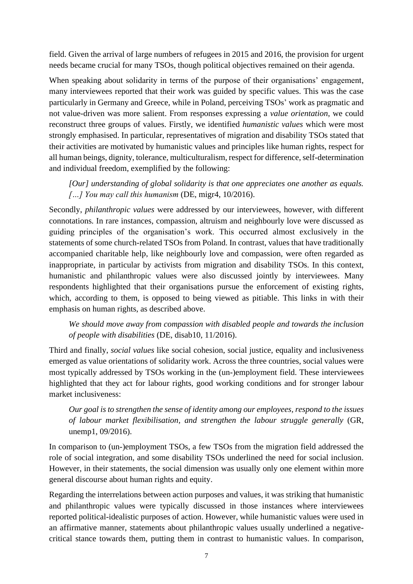field. Given the arrival of large numbers of refugees in 2015 and 2016, the provision for urgent needs became crucial for many TSOs, though political objectives remained on their agenda.

When speaking about solidarity in terms of the purpose of their organisations' engagement, many interviewees reported that their work was guided by specific values. This was the case particularly in Germany and Greece, while in Poland, perceiving TSOs' work as pragmatic and not value-driven was more salient. From responses expressing a *value orientation*, we could reconstruct three groups of values. Firstly, we identified *humanistic values* which were most strongly emphasised. In particular, representatives of migration and disability TSOs stated that their activities are motivated by humanistic values and principles like human rights, respect for all human beings, dignity, tolerance, multiculturalism, respect for difference, self-determination and individual freedom, exemplified by the following:

*[Our] understanding of global solidarity is that one appreciates one another as equals. […] You may call this humanism* (DE, migr4, 10/2016).

Secondly, *philanthropic values* were addressed by our interviewees, however, with different connotations. In rare instances, compassion, altruism and neighbourly love were discussed as guiding principles of the organisation's work. This occurred almost exclusively in the statements of some church-related TSOs from Poland. In contrast, values that have traditionally accompanied charitable help, like neighbourly love and compassion, were often regarded as inappropriate, in particular by activists from migration and disability TSOs. In this context, humanistic and philanthropic values were also discussed jointly by interviewees. Many respondents highlighted that their organisations pursue the enforcement of existing rights, which, according to them, is opposed to being viewed as pitiable. This links in with their emphasis on human rights, as described above.

*We should move away from compassion with disabled people and towards the inclusion of people with disabilities* (DE, disab10, 11/2016).

Third and finally, *social values* like social cohesion, social justice, equality and inclusiveness emerged as value orientations of solidarity work. Across the three countries, social values were most typically addressed by TSOs working in the (un-)employment field. These interviewees highlighted that they act for labour rights, good working conditions and for stronger labour market inclusiveness:

*Our goal is to strengthen the sense of identity among our employees, respond to the issues of labour market flexibilisation, and strengthen the labour struggle generally* (GR, unemp1, 09/2016).

In comparison to (un-)employment TSOs, a few TSOs from the migration field addressed the role of social integration, and some disability TSOs underlined the need for social inclusion. However, in their statements, the social dimension was usually only one element within more general discourse about human rights and equity.

Regarding the interrelations between action purposes and values, it was striking that humanistic and philanthropic values were typically discussed in those instances where interviewees reported political-idealistic purposes of action. However, while humanistic values were used in an affirmative manner, statements about philanthropic values usually underlined a negativecritical stance towards them, putting them in contrast to humanistic values. In comparison,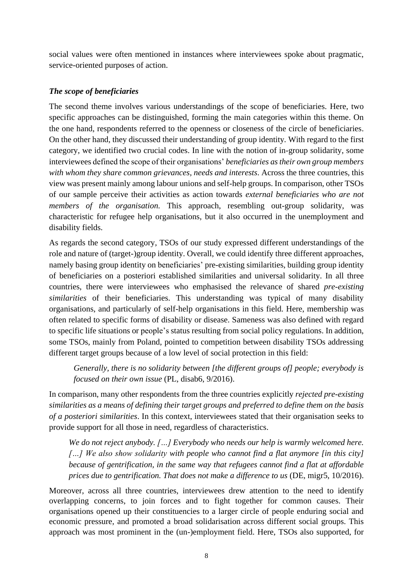social values were often mentioned in instances where interviewees spoke about pragmatic, service-oriented purposes of action.

# *The scope of beneficiaries*

The second theme involves various understandings of the scope of beneficiaries. Here, two specific approaches can be distinguished, forming the main categories within this theme. On the one hand, respondents referred to the openness or closeness of the circle of beneficiaries. On the other hand, they discussed their understanding of group identity*.* With regard to the first category, we identified two crucial codes. In line with the notion of in-group solidarity, some interviewees defined the scope of their organisations' *beneficiaries as their own group members with whom they share common grievances, needs and interests*. Across the three countries, this view was present mainly among labour unions and self-help groups. In comparison, other TSOs of our sample perceive their activities as action towards *external beneficiaries who are not members of the organisation.* This approach, resembling out-group solidarity, was characteristic for refugee help organisations, but it also occurred in the unemployment and disability fields.

As regards the second category, TSOs of our study expressed different understandings of the role and nature of (target-)group identity. Overall, we could identify three different approaches, namely basing group identity on beneficiaries' pre-existing similarities, building group identity of beneficiaries on a posteriori established similarities and universal solidarity. In all three countries, there were interviewees who emphasised the relevance of shared *pre-existing similarities* of their beneficiaries. This understanding was typical of many disability organisations, and particularly of self-help organisations in this field. Here, membership was often related to specific forms of disability or disease. Sameness was also defined with regard to specific life situations or people's status resulting from social policy regulations. In addition, some TSOs, mainly from Poland, pointed to competition between disability TSOs addressing different target groups because of a low level of social protection in this field:

*Generally, there is no solidarity between [the different groups of] people; everybody is focused on their own issue* (PL, disab6, 9/2016).

In comparison, many other respondents from the three countries explicitly *rejected pre-existing similarities as a means of defining their target groups and preferred to define them on the basis of a posteriori similarities*. In this context, interviewees stated that their organisation seeks to provide support for all those in need, regardless of characteristics.

*We do not reject anybody. […] Everybody who needs our help is warmly welcomed here.*  [...] We also show solidarity with people who cannot find a flat anymore [in this city] *because of gentrification, in the same way that refugees cannot find a flat at affordable prices due to gentrification. That does not make a difference to us* (DE, migr5, 10/2016).

Moreover, across all three countries, interviewees drew attention to the need to identify overlapping concerns, to join forces and to fight together for common causes. Their organisations opened up their constituencies to a larger circle of people enduring social and economic pressure, and promoted a broad solidarisation across different social groups. This approach was most prominent in the (un-)employment field. Here, TSOs also supported, for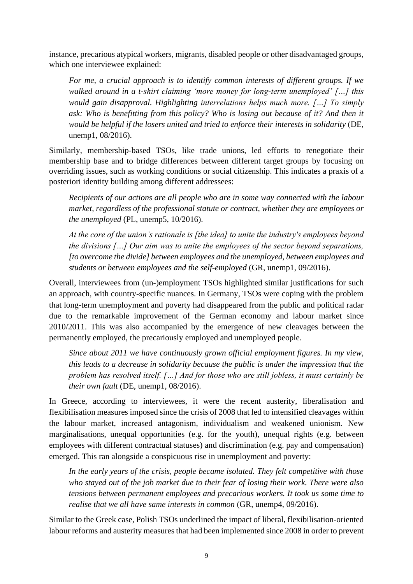instance, precarious atypical workers, migrants, disabled people or other disadvantaged groups, which one interviewee explained:

*For me, a crucial approach is to identify common interests of different groups. If we walked around in a t-shirt claiming 'more money for long-term unemployed' […] this would gain disapproval. Highlighting interrelations helps much more. […] To simply ask: Who is benefitting from this policy? Who is losing out because of it? And then it would be helpful if the losers united and tried to enforce their interests in solidarity* (DE, unemp1, 08/2016).

Similarly, membership-based TSOs, like trade unions, led efforts to renegotiate their membership base and to bridge differences between different target groups by focusing on overriding issues, such as working conditions or social citizenship. This indicates a praxis of a posteriori identity building among different addressees:

*Recipients of our actions are all people who are in some way connected with the labour market, regardless of the professional statute or contract, whether they are employees or the unemployed* (PL, unemp5, 10/2016).

*At the core of the union's rationale is [the idea] to unite the industry's employees beyond the divisions […] Our aim was to unite the employees of the sector beyond separations, [to overcome the divide] between employees and the unemployed, between employees and students or between employees and the self-employed* (GR, unemp1, 09/2016).

Overall, interviewees from (un-)employment TSOs highlighted similar justifications for such an approach, with country-specific nuances. In Germany, TSOs were coping with the problem that long-term unemployment and poverty had disappeared from the public and political radar due to the remarkable improvement of the German economy and labour market since 2010/2011. This was also accompanied by the emergence of new cleavages between the permanently employed, the precariously employed and unemployed people.

*Since about 2011 we have continuously grown official employment figures. In my view, this leads to a decrease in solidarity because the public is under the impression that the problem has resolved itself. […] And for those who are still jobless, it must certainly be their own fault* (DE, unemp1, 08/2016).

In Greece, according to interviewees, it were the recent austerity, liberalisation and flexibilisation measures imposed since the crisis of 2008 that led to intensified cleavages within the labour market, increased antagonism, individualism and weakened unionism. New marginalisations, unequal opportunities (e.g. for the youth), unequal rights (e.g. between employees with different contractual statuses) and discrimination (e.g. pay and compensation) emerged. This ran alongside a conspicuous rise in unemployment and poverty:

*In the early years of the crisis, people became isolated. They felt competitive with those who stayed out of the job market due to their fear of losing their work. There were also tensions between permanent employees and precarious workers. It took us some time to realise that we all have same interests in common* (GR, unemp4, 09/2016).

Similar to the Greek case, Polish TSOs underlined the impact of liberal, flexibilisation-oriented labour reforms and austerity measures that had been implemented since 2008 in order to prevent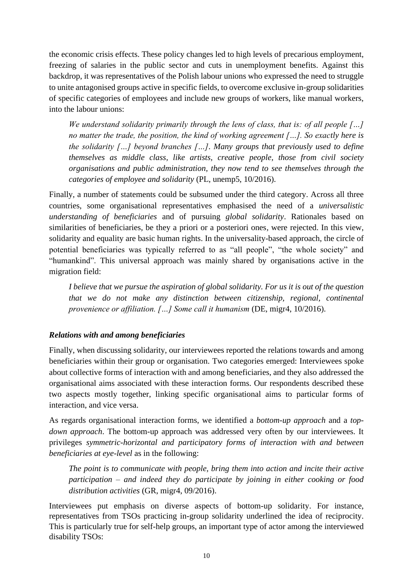the economic crisis effects. These policy changes led to high levels of precarious employment, freezing of salaries in the public sector and cuts in unemployment benefits. Against this backdrop, it was representatives of the Polish labour unions who expressed the need to struggle to unite antagonised groups active in specific fields, to overcome exclusive in-group solidarities of specific categories of employees and include new groups of workers, like manual workers, into the labour unions:

*We understand solidarity primarily through the lens of class, that is: of all people […] no matter the trade, the position, the kind of working agreement […]. So exactly here is the solidarity […] beyond branches […]*. *Many groups that previously used to define themselves as middle class, like artists, creative people, those from civil society organisations and public administration, they now tend to see themselves through the categories of employee and solidarity* (PL, unemp5, 10/2016).

Finally, a number of statements could be subsumed under the third category. Across all three countries, some organisational representatives emphasised the need of a *universalistic understanding of beneficiaries* and of pursuing *global solidarity*. Rationales based on similarities of beneficiaries, be they a priori or a posteriori ones*,* were rejected. In this view, solidarity and equality are basic human rights. In the universality-based approach, the circle of potential beneficiaries was typically referred to as "all people", "the whole society" and "humankind". This universal approach was mainly shared by organisations active in the migration field:

*I believe that we pursue the aspiration of global solidarity. For us it is out of the question that we do not make any distinction between citizenship, regional, continental provenience or affiliation. […] Some call it humanism* (DE, migr4, 10/2016).

# *Relations with and among beneficiaries*

Finally, when discussing solidarity, our interviewees reported the relations towards and among beneficiaries within their group or organisation. Two categories emerged: Interviewees spoke about collective forms of interaction with and among beneficiaries, and they also addressed the organisational aims associated with these interaction forms. Our respondents described these two aspects mostly together, linking specific organisational aims to particular forms of interaction, and vice versa.

As regards organisational interaction forms, we identified a *bottom-up approach* and a *topdown approach*. The bottom-up approach was addressed very often by our interviewees. It privileges *symmetric-horizontal and participatory forms of interaction with and between beneficiaries at eye-level* as in the following:

*The point is to communicate with people, bring them into action and incite their active participation – and indeed they do participate by joining in either cooking or food distribution activities* (GR, migr4, 09/2016).

Interviewees put emphasis on diverse aspects of bottom-up solidarity. For instance, representatives from TSOs practicing in-group solidarity underlined the idea of reciprocity. This is particularly true for self-help groups, an important type of actor among the interviewed disability TSOs: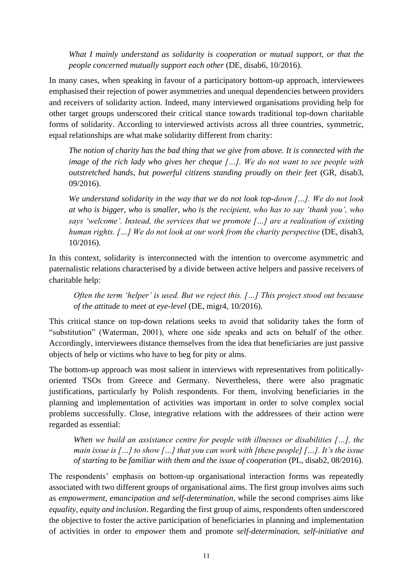*What I mainly understand as solidarity is cooperation or mutual support, or that the people concerned mutually support each other* (DE, disab6, 10/2016).

In many cases, when speaking in favour of a participatory bottom-up approach, interviewees emphasised their rejection of power asymmetries and unequal dependencies between providers and receivers of solidarity action. Indeed, many interviewed organisations providing help for other target groups underscored their critical stance towards traditional top-down charitable forms of solidarity. According to interviewed activists across all three countries, symmetric, equal relationships are what make solidarity different from charity:

*The notion of charity has the bad thing that we give from above. It is connected with the image of the rich lady who gives her cheque […]. We do not want to see people with outstretched hands, but powerful citizens standing proudly on their feet* (GR, disab3, 09/2016).

*We understand solidarity in the way that we do not look top-down […]. We do not look at who is bigger, who is smaller, who is the recipient, who has to say 'thank you', who says 'welcome'. Instead, the services that we promote […] are a realisation of existing human rights. […] We do not look at our work from the charity perspective* (DE, disab3, 10/2016).

In this context, solidarity is interconnected with the intention to overcome asymmetric and paternalistic relations characterised by a divide between active helpers and passive receivers of charitable help:

*Often the term 'helper' is used. But we reject this. […] This project stood out because of the attitude to meet at eye-level* (DE, migr4, 10/2016).

This critical stance on top-down relations seeks to avoid that solidarity takes the form of "substitution" (Waterman, 2001), where one side speaks and acts on behalf of the other. Accordingly, interviewees distance themselves from the idea that beneficiaries are just passive objects of help or victims who have to beg for pity or alms.

The bottom-up approach was most salient in interviews with representatives from politicallyoriented TSOs from Greece and Germany. Nevertheless, there were also pragmatic justifications, particularly by Polish respondents. For them, involving beneficiaries in the planning and implementation of activities was important in order to solve complex social problems successfully. Close, integrative relations with the addressees of their action were regarded as essential:

*When we build an assistance centre for people with illnesses or disabilities […], the main issue is […] to show […] that you can work with [these people] […]. It's the issue of starting to be familiar with them and the issue of cooperation* (PL, disab2, 08/2016).

The respondents' emphasis on bottom-up organisational interaction forms was repeatedly associated with two different groups of organisational aims. The first group involves aims such as *empowerment, emancipation and self-determination*, while the second comprises aims like *equality, equity and inclusion*. Regarding the first group of aims, respondents often underscored the objective to foster the active participation of beneficiaries in planning and implementation of activities in order to *empower* them and promote *self-determination, self-initiative and*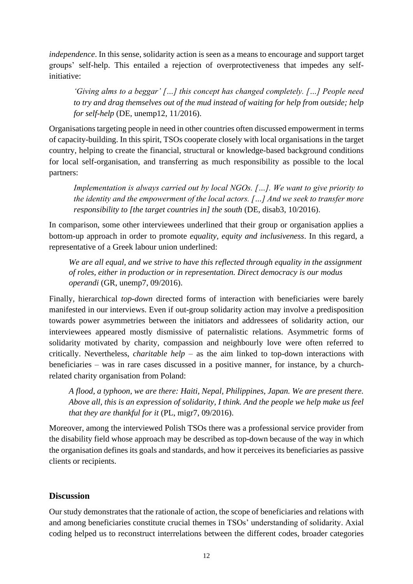*independence*. In this sense, solidarity action is seen as a means to encourage and support target groups' self-help. This entailed a rejection of overprotectiveness that impedes any selfinitiative:

*'Giving alms to a beggar' […] this concept has changed completely. […] People need to try and drag themselves out of the mud instead of waiting for help from outside; help for self-help* (DE, unemp12, 11/2016).

Organisations targeting people in need in other countries often discussed empowerment in terms of capacity-building. In this spirit, TSOs cooperate closely with local organisations in the target country, helping to create the financial, structural or knowledge-based background conditions for local self-organisation, and transferring as much responsibility as possible to the local partners:

*Implementation is always carried out by local NGOs. […]. We want to give priority to the identity and the empowerment of the local actors. […] And we seek to transfer more responsibility to [the target countries in] the south* (DE, disab3, 10/2016).

In comparison, some other interviewees underlined that their group or organisation applies a bottom-up approach in order to promote *equality, equity and inclusiveness*. In this regard, a representative of a Greek labour union underlined:

*We are all equal, and we strive to have this reflected through equality in the assignment of roles, either in production or in representation. Direct democracy is our modus operandi* (GR, unemp7, 09/2016).

Finally, hierarchical *top-down* directed forms of interaction with beneficiaries were barely manifested in our interviews. Even if out-group solidarity action may involve a predisposition towards power asymmetries between the initiators and addressees of solidarity action, our interviewees appeared mostly dismissive of paternalistic relations. Asymmetric forms of solidarity motivated by charity, compassion and neighbourly love were often referred to critically. Nevertheless, *charitable help* – as the aim linked to top-down interactions with beneficiaries – was in rare cases discussed in a positive manner, for instance, by a churchrelated charity organisation from Poland:

*A flood, a typhoon, we are there: Haiti, Nepal, Philippines, Japan. We are present there. Above all, this is an expression of solidarity, I think. And the people we help make us feel that they are thankful for it* (PL, migr7, 09/2016).

Moreover, among the interviewed Polish TSOs there was a professional service provider from the disability field whose approach may be described as top-down because of the way in which the organisation defines its goals and standards, and how it perceives its beneficiaries as passive clients or recipients.

# **Discussion**

Our study demonstrates that the rationale of action, the scope of beneficiaries and relations with and among beneficiaries constitute crucial themes in TSOs' understanding of solidarity. Axial coding helped us to reconstruct interrelations between the different codes, broader categories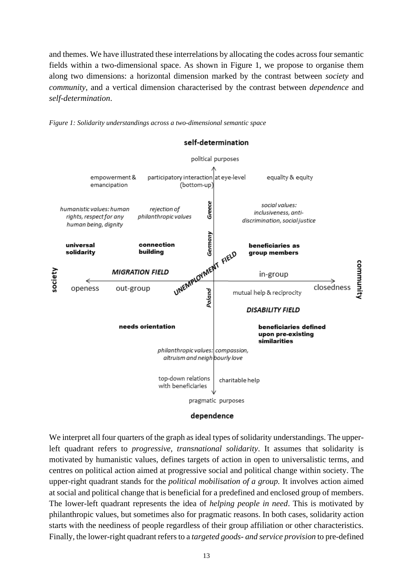and themes. We have illustrated these interrelations by allocating the codes across four semantic fields within a two-dimensional space. As shown in Figure 1, we propose to organise them along two dimensions: a horizontal dimension marked by the contrast between *society* and *community,* and a vertical dimension characterised by the contrast between *dependence* and *self-determination*.





#### self-determination

#### dependence

We interpret all four quarters of the graph as ideal types of solidarity understandings. The upperleft quadrant refers to *progressive, transnational solidarity*. It assumes that solidarity is motivated by humanistic values, defines targets of action in open to universalistic terms, and centres on political action aimed at progressive social and political change within society. The upper-right quadrant stands for the *political mobilisation of a group.* It involves action aimed at social and political change that is beneficial for a predefined and enclosed group of members. The lower-left quadrant represents the idea of *helping people in need*. This is motivated by philanthropic values, but sometimes also for pragmatic reasons. In both cases, solidarity action starts with the neediness of people regardless of their group affiliation or other characteristics. Finally, the lower-right quadrant refers to a *targeted goods- and service provision* to pre-defined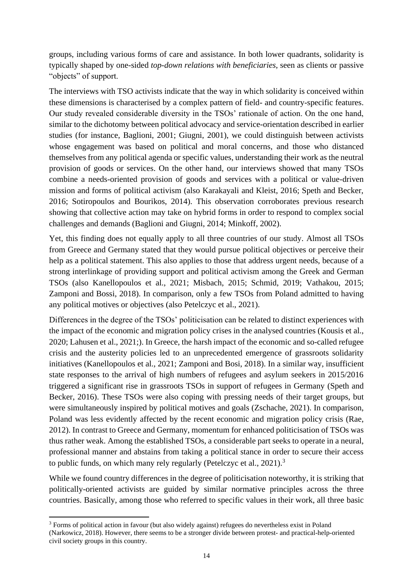groups, including various forms of care and assistance. In both lower quadrants, solidarity is typically shaped by one-sided *top-down relations with beneficiaries*, seen as clients or passive "objects" of support.

The interviews with TSO activists indicate that the way in which solidarity is conceived within these dimensions is characterised by a complex pattern of field- and country-specific features. Our study revealed considerable diversity in the TSOs' rationale of action. On the one hand, similar to the dichotomy between political advocacy and service-orientation described in earlier studies (for instance, Baglioni, 2001; Giugni, 2001), we could distinguish between activists whose engagement was based on political and moral concerns, and those who distanced themselves from any political agenda or specific values, understanding their work as the neutral provision of goods or services. On the other hand, our interviews showed that many TSOs combine a needs-oriented provision of goods and services with a political or value-driven mission and forms of political activism (also Karakayali and Kleist, 2016; Speth and Becker, 2016; Sotiropoulos and Bourikos, 2014). This observation corroborates previous research showing that collective action may take on hybrid forms in order to respond to complex social challenges and demands (Baglioni and Giugni, 2014; Minkoff, 2002).

Yet, this finding does not equally apply to all three countries of our study. Almost all TSOs from Greece and Germany stated that they would pursue political objectives or perceive their help as a political statement. This also applies to those that address urgent needs, because of a strong interlinkage of providing support and political activism among the Greek and German TSOs (also Kanellopoulos et al., 2021; Misbach, 2015; Schmid, 2019; Vathakou, 2015; Zamponi and Bossi, 2018). In comparison, only a few TSOs from Poland admitted to having any political motives or objectives (also Petelczyc et al., 2021).

Differences in the degree of the TSOs' politicisation can be related to distinct experiences with the impact of the economic and migration policy crises in the analysed countries (Kousis et al., 2020; Lahusen et al., 2021;). In Greece, the harsh impact of the economic and so-called refugee crisis and the austerity policies led to an unprecedented emergence of grassroots solidarity initiatives (Kanellopoulos et al., 2021; Zamponi and Bosi, 2018). In a similar way, insufficient state responses to the arrival of high numbers of refugees and asylum seekers in 2015/2016 triggered a significant rise in grassroots TSOs in support of refugees in Germany (Speth and Becker, 2016). These TSOs were also coping with pressing needs of their target groups, but were simultaneously inspired by political motives and goals (Zschache, 2021). In comparison, Poland was less evidently affected by the recent economic and migration policy crisis (Rae, 2012). In contrast to Greece and Germany, momentum for enhanced politicisation of TSOs was thus rather weak. Among the established TSOs, a considerable part seeks to operate in a neural, professional manner and abstains from taking a political stance in order to secure their access to public funds, on which many rely regularly (Petelczyc et al., 2021).<sup>3</sup>

While we found country differences in the degree of politicisation noteworthy, it is striking that politically-oriented activists are guided by similar normative principles across the three countries. Basically, among those who referred to specific values in their work, all three basic

<sup>3</sup> Forms of political action in favour (but also widely against) refugees do nevertheless exist in Poland (Narkowicz, 2018). However, there seems to be a stronger divide between protest- and practical-help-oriented civil society groups in this country.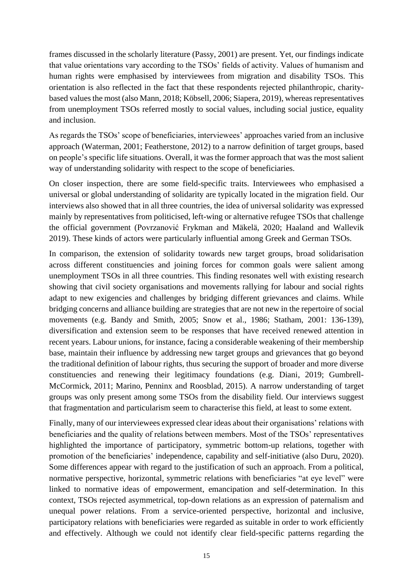frames discussed in the scholarly literature (Passy, 2001) are present. Yet, our findings indicate that value orientations vary according to the TSOs' fields of activity. Values of humanism and human rights were emphasised by interviewees from migration and disability TSOs. This orientation is also reflected in the fact that these respondents rejected philanthropic, charitybased values the most (also Mann, 2018; Köbsell, 2006; Siapera, 2019), whereas representatives from unemployment TSOs referred mostly to social values, including social justice, equality and inclusion.

As regards the TSOs' scope of beneficiaries, interviewees' approaches varied from an inclusive approach (Waterman, 2001; Featherstone, 2012) to a narrow definition of target groups, based on people's specific life situations. Overall, it was the former approach that was the most salient way of understanding solidarity with respect to the scope of beneficiaries.

On closer inspection, there are some field-specific traits. Interviewees who emphasised a universal or global understanding of solidarity are typically located in the migration field. Our interviews also showed that in all three countries, the idea of universal solidarity was expressed mainly by representatives from politicised, left-wing or alternative refugee TSOs that challenge the official government (Povrzanović Frykman and Mäkelä, 2020; Haaland and Wallevik 2019). These kinds of actors were particularly influential among Greek and German TSOs.

In comparison, the extension of solidarity towards new target groups, broad solidarisation across different constituencies and joining forces for common goals were salient among unemployment TSOs in all three countries. This finding resonates well with existing research showing that civil society organisations and movements rallying for labour and social rights adapt to new exigencies and challenges by bridging different grievances and claims. While bridging concerns and alliance building are strategies that are not new in the repertoire of social movements (e.g. Bandy and Smith, 2005; Snow et al., 1986; Statham, 2001: 136-139), diversification and extension seem to be responses that have received renewed attention in recent years. Labour unions, for instance, facing a considerable weakening of their membership base, maintain their influence by addressing new target groups and grievances that go beyond the traditional definition of labour rights, thus securing the support of broader and more diverse constituencies and renewing their legitimacy foundations (e.g. Diani, 2019; Gumbrell-McCormick, 2011; Marino, Penninx and Roosblad, 2015). A narrow understanding of target groups was only present among some TSOs from the disability field. Our interviews suggest that fragmentation and particularism seem to characterise this field, at least to some extent.

Finally, many of our interviewees expressed clear ideas about their organisations' relations with beneficiaries and the quality of relations between members. Most of the TSOs' representatives highlighted the importance of participatory, symmetric bottom-up relations, together with promotion of the beneficiaries' independence, capability and self-initiative (also Duru, 2020). Some differences appear with regard to the justification of such an approach. From a political, normative perspective, horizontal, symmetric relations with beneficiaries "at eye level" were linked to normative ideas of empowerment, emancipation and self-determination. In this context, TSOs rejected asymmetrical, top-down relations as an expression of paternalism and unequal power relations. From a service-oriented perspective, horizontal and inclusive, participatory relations with beneficiaries were regarded as suitable in order to work efficiently and effectively. Although we could not identify clear field-specific patterns regarding the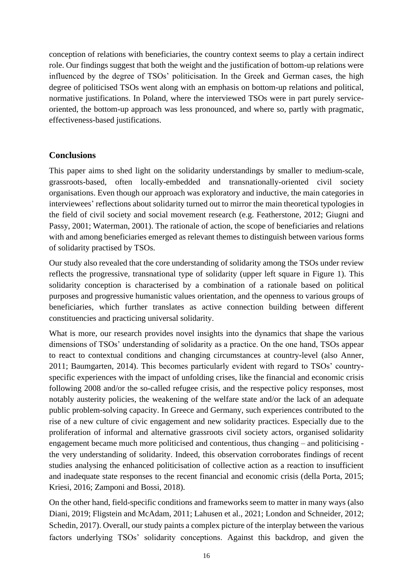conception of relations with beneficiaries, the country context seems to play a certain indirect role. Our findings suggest that both the weight and the justification of bottom-up relations were influenced by the degree of TSOs' politicisation. In the Greek and German cases, the high degree of politicised TSOs went along with an emphasis on bottom-up relations and political, normative justifications. In Poland, where the interviewed TSOs were in part purely serviceoriented, the bottom-up approach was less pronounced, and where so, partly with pragmatic, effectiveness-based justifications.

## **Conclusions**

This paper aims to shed light on the solidarity understandings by smaller to medium-scale, grassroots-based, often locally-embedded and transnationally-oriented civil society organisations. Even though our approach was exploratory and inductive, the main categories in interviewees' reflections about solidarity turned out to mirror the main theoretical typologies in the field of civil society and social movement research (e.g. Featherstone, 2012; Giugni and Passy, 2001; Waterman, 2001). The rationale of action, the scope of beneficiaries and relations with and among beneficiaries emerged as relevant themes to distinguish between various forms of solidarity practised by TSOs.

Our study also revealed that the core understanding of solidarity among the TSOs under review reflects the progressive, transnational type of solidarity (upper left square in Figure 1). This solidarity conception is characterised by a combination of a rationale based on political purposes and progressive humanistic values orientation, and the openness to various groups of beneficiaries, which further translates as active connection building between different constituencies and practicing universal solidarity.

What is more, our research provides novel insights into the dynamics that shape the various dimensions of TSOs' understanding of solidarity as a practice. On the one hand, TSOs appear to react to contextual conditions and changing circumstances at country-level (also Anner, 2011; Baumgarten, 2014). This becomes particularly evident with regard to TSOs' countryspecific experiences with the impact of unfolding crises, like the financial and economic crisis following 2008 and/or the so-called refugee crisis, and the respective policy responses, most notably austerity policies, the weakening of the welfare state and/or the lack of an adequate public problem-solving capacity. In Greece and Germany, such experiences contributed to the rise of a new culture of civic engagement and new solidarity practices. Especially due to the proliferation of informal and alternative grassroots civil society actors, organised solidarity engagement became much more politicised and contentious, thus changing – and politicising the very understanding of solidarity. Indeed, this observation corroborates findings of recent studies analysing the enhanced politicisation of collective action as a reaction to insufficient and inadequate state responses to the recent financial and economic crisis (della Porta, 2015; Kriesi, 2016; Zamponi and Bossi, 2018).

On the other hand, field-specific conditions and frameworks seem to matter in many ways (also Diani, 2019; Fligstein and McAdam, 2011; Lahusen et al., 2021; London and Schneider, 2012; Schedin, 2017). Overall, our study paints a complex picture of the interplay between the various factors underlying TSOs' solidarity conceptions. Against this backdrop, and given the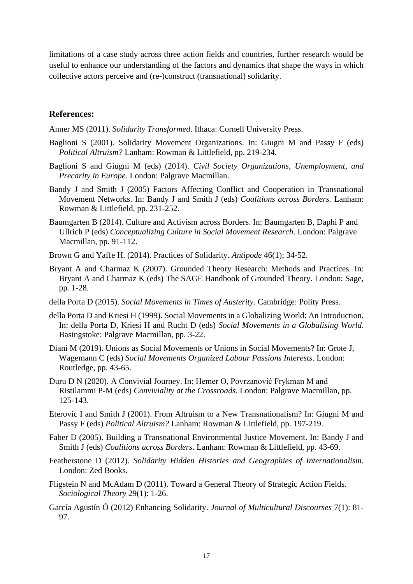limitations of a case study across three action fields and countries, further research would be useful to enhance our understanding of the factors and dynamics that shape the ways in which collective actors perceive and (re-)construct (transnational) solidarity.

### **References:**

Anner MS (2011). *Solidarity Transformed*. Ithaca: Cornell University Press.

- Baglioni S (2001). Solidarity Movement Organizations. In: Giugni M and Passy F (eds) *Political Altruism?* Lanham: Rowman & Littlefield, pp. 219-234.
- Baglioni S and Giugni M (eds) (2014). *Civil Society Organizations, Unemployment, and Precarity in Europe*. London: Palgrave Macmillan.
- Bandy J and Smith J (2005) Factors Affecting Conflict and Cooperation in Transnational Movement Networks. In: Bandy J and Smith J (eds) *Coalitions across Borders.* Lanham: Rowman & Littlefield, pp. 231-252.
- Baumgarten B (2014). Culture and Activism across Borders. In: Baumgarten B, Daphi P and Ullrich P (eds) *Conceptualizing Culture in Social Movement Research*. London: Palgrave Macmillan, pp. 91-112.
- Brown G and Yaffe H. (2014). Practices of Solidarity. *Antipode* 46(1); 34-52.
- Bryant A and Charmaz K (2007). Grounded Theory Research: Methods and Practices. In: Bryant A and Charmaz K (eds) The SAGE Handbook of Grounded Theory. London: Sage, pp. 1-28.
- della Porta D (2015). *Social Movements in Times of Austerity*. Cambridge: Polity Press.
- della Porta D and Kriesi H (1999). Social Movements in a Globalizing World: An Introduction. In: della Porta D, Kriesi H and Rucht D (eds) *Social Movements in a Globalising World*. Basingstoke: Palgrave Macmillan, pp. 3-22.
- Diani M (2019). Unions as Social Movements or Unions in Social Movements? In: Grote J, Wagemann C (eds) *Social Movements Organized Labour Passions Interests*. London: Routledge, pp. 43-65.
- Duru D N (2020). A Convivial Journey. In: Hemer O, Povrzanović Frykman M and Ristilammi P-M (eds) *Conviviality at the Crossroads.* London: Palgrave Macmillan, pp. 125-143.
- Eterovic I and Smith J (2001). From Altruism to a New Transnationalism? In: Giugni M and Passy F (eds) *Political Altruism?* Lanham: Rowman & Littlefield, pp. 197-219.
- Faber D (2005). Building a Transnational Environmental Justice Movement. In: Bandy J and Smith J (eds) *Coalitions across Borders*. Lanham: Rowman & Littlefield, pp. 43-69.
- Featherstone D (2012). *Solidarity Hidden Histories and Geographies of Internationalism*. London: Zed Books.
- Fligstein N and McAdam D (2011). Toward a General Theory of Strategic Action Fields. *Sociological Theory* 29(1): 1-26.
- García Agustín Ó (2012) Enhancing Solidarity. *Journal of Multicultural Discourses* 7(1): 81- 97.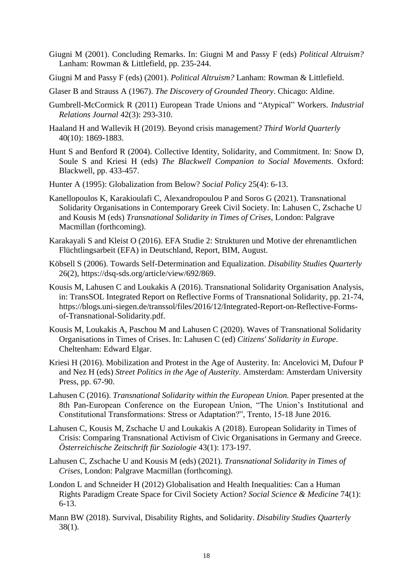- Giugni M (2001). Concluding Remarks. In: Giugni M and Passy F (eds) *Political Altruism?* Lanham: Rowman & Littlefield, pp. 235-244.
- Giugni M and Passy F (eds) (2001). *Political Altruism?* Lanham: Rowman & Littlefield.
- Glaser B and Strauss A (1967). *The Discovery of Grounded Theory*. Chicago: Aldine.
- Gumbrell-McCormick R (2011) European Trade Unions and "Atypical" Workers. *Industrial Relations Journal* 42(3): 293-310.
- Haaland H and Wallevik H (2019). Beyond crisis management? *Third World Quarterly* 40(10): 1869-1883.
- Hunt S and Benford R (2004). Collective Identity, Solidarity, and Commitment. In: Snow D, Soule S and Kriesi H (eds) *The Blackwell Companion to Social Movements*. Oxford: Blackwell, pp. 433-457.
- Hunter A (1995): Globalization from Below? *Social Policy* 25(4): 6-13.
- Kanellopoulos K, Karakioulafi C, Alexandropoulou P and Soros G (2021). Transnational Solidarity Organisations in Contemporary Greek Civil Society. In: Lahusen C, Zschache U and Kousis M (eds) *Transnational Solidarity in Times of Crises*, London: Palgrave Macmillan (forthcoming).
- Karakayali S and Kleist O (2016). EFA Studie 2: Strukturen und Motive der ehrenamtlichen Flüchtlingsarbeit (EFA) in Deutschland, Report, BIM, August.
- Köbsell S (2006). Towards Self-Determination and Equalization. *Disability Studies Quarterly* 26(2), https://dsq-sds.org/article/view/692/869.
- Kousis M, Lahusen C and Loukakis A (2016). Transnational Solidarity Organisation Analysis, in: TransSOL Integrated Report on Reflective Forms of Transnational Solidarity, pp. 21-74, https://blogs.uni-siegen.de/transsol/files/2016/12/Integrated-Report-on-Reflective-Formsof-Transnational-Solidarity.pdf.
- Kousis M, Loukakis A, Paschou M and Lahusen C (2020). Waves of Transnational Solidarity Organisations in Times of Crises. In: Lahusen C (ed) *Citizens' Solidarity in Europe*. Cheltenham: Edward Elgar.
- Kriesi H (2016). Mobilization and Protest in the Age of Austerity. In: Ancelovici M, Dufour P and Nez H (eds) *Street Politics in the Age of Austerity*. Amsterdam: Amsterdam University Press, pp. 67-90.
- Lahusen C (2016). *Transnational Solidarity within the European Union*. Paper presented at the 8th Pan-European Conference on the European Union, "The Union's Institutional and Constitutional Transformations: Stress or Adaptation?", Trento, 15-18 June 2016.
- Lahusen C, Kousis M, Zschache U and Loukakis A (2018). European Solidarity in Times of Crisis: Comparing Transnational Activism of Civic Organisations in Germany and Greece. *Österreichische Zeitschrift für Soziologie* 43(1): 173-197.
- Lahusen C, Zschache U and Kousis M (eds) (2021). *Transnational Solidarity in Times of Crises*, London: Palgrave Macmillan (forthcoming).
- London L and Schneider H (2012) Globalisation and Health Inequalities: Can a Human Rights Paradigm Create Space for Civil Society Action? *Social Science & Medicine* 74(1): 6-13.
- Mann BW (2018). Survival, Disability Rights, and Solidarity. *Disability Studies Quarterly* 38(1).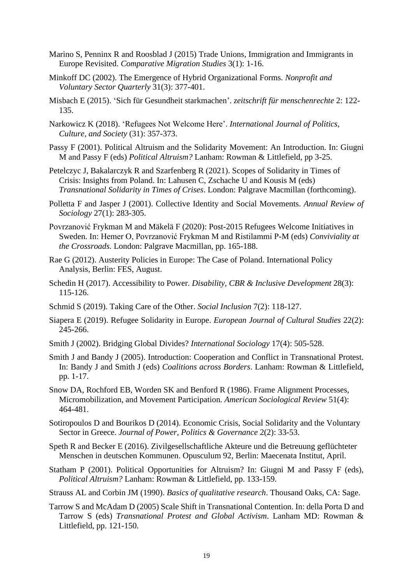- Marino S, Penninx R and Roosblad J (2015) Trade Unions, Immigration and Immigrants in Europe Revisited. *Comparative Migration Studies* 3(1): 1-16.
- Minkoff DC (2002). The Emergence of Hybrid Organizational Forms. *Nonprofit and Voluntary Sector Quarterly* 31(3): 377-401.
- Misbach E (2015). 'Sich für Gesundheit starkmachen'. *zeitschrift für menschenrechte* 2: 122- 135.
- Narkowicz K (2018). 'Refugees Not Welcome Here'. *International Journal of Politics, Culture, and Society* (31): 357-373.
- Passy F (2001). Political Altruism and the Solidarity Movement: An Introduction. In: Giugni M and Passy F (eds) *Political Altruism?* Lanham: Rowman & Littlefield, pp 3-25.
- Petelczyc J, Bakalarczyk R and Szarfenberg R (2021). Scopes of Solidarity in Times of Crisis: Insights from Poland. In: Lahusen C, Zschache U and Kousis M (eds) *Transnational Solidarity in Times of Crises*. London: Palgrave Macmillan (forthcoming).
- Polletta F and Jasper J (2001). Collective Identity and Social Movements. *Annual Review of Sociology* 27(1): 283-305.
- Povrzanović Frykman M and Mäkelä F (2020): Post-2015 Refugees Welcome Initiatives in Sweden. In: Hemer O, Povrzanović Frykman M and Ristilammi P-M (eds) *Conviviality at the Crossroads.* London: Palgrave Macmillan, pp. 165-188.
- Rae G (2012). Austerity Policies in Europe: The Case of Poland. International Policy Analysis, Berlin: FES, August.
- Schedin H (2017). Accessibility to Power. *Disability, CBR & Inclusive Development* 28(3): 115-126.
- Schmid S (2019). Taking Care of the Other. *Social Inclusion* 7(2): 118-127.
- Siapera E (2019). Refugee Solidarity in Europe. *European Journal of Cultural Studies* 22(2): 245-266.
- Smith J (2002). Bridging Global Divides? *International Sociology* 17(4): 505-528.
- Smith J and Bandy J (2005). Introduction: Cooperation and Conflict in Transnational Protest. In: Bandy J and Smith J (eds) *Coalitions across Borders*. Lanham: Rowman & Littlefield, pp. 1-17.
- Snow DA, Rochford EB, Worden SK and Benford R (1986). Frame Alignment Processes, Micromobilization, and Movement Participation. *American Sociological Review* 51(4): 464-481.
- Sotiropoulos D and Bourikos D (2014). Economic Crisis, Social Solidarity and the Voluntary Sector in Greece. *Journal of Power, Politics & Governance* 2(2): 33-53.
- Speth R and Becker E (2016). Zivilgesellschaftliche Akteure und die Betreuung geflüchteter Menschen in deutschen Kommunen. Opusculum 92, Berlin: Maecenata Institut, April.
- Statham P (2001). Political Opportunities for Altruism? In: Giugni M and Passy F (eds), *Political Altruism?* Lanham: Rowman & Littlefield, pp. 133-159.
- Strauss AL and Corbin JM (1990). *Basics of qualitative research*. Thousand Oaks, CA: Sage.
- Tarrow S and McAdam D (2005) Scale Shift in Transnational Contention. In: della Porta D and Tarrow S (eds) *Transnational Protest and Global Activism*. Lanham MD: Rowman & Littlefield, pp. 121-150.